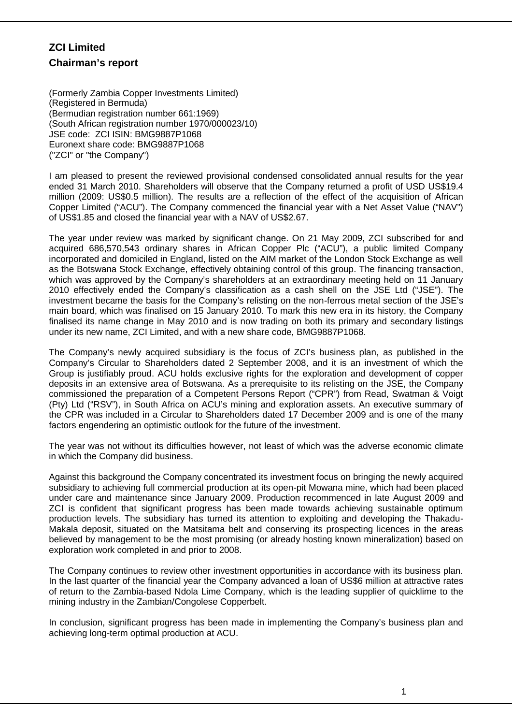# **ZCI Limited Chairman's report**

(Formerly Zambia Copper Investments Limited) (Registered in Bermuda) (Bermudian registration number 661:1969) (South African registration number 1970/000023/10) JSE code: ZCI ISIN: BMG9887P1068 Euronext share code: BMG9887P1068 ("ZCI" or "the Company")

I am pleased to present the reviewed provisional condensed consolidated annual results for the year ended 31 March 2010. Shareholders will observe that the Company returned a profit of USD US\$19.4 million (2009: US\$0.5 million). The results are a reflection of the effect of the acquisition of African Copper Limited ("ACU"). The Company commenced the financial year with a Net Asset Value ("NAV") of US\$1.85 and closed the financial year with a NAV of US\$2.67.

The year under review was marked by significant change. On 21 May 2009, ZCI subscribed for and acquired 686,570,543 ordinary shares in African Copper Plc ("ACU"), a public limited Company incorporated and domiciled in England, listed on the AIM market of the London Stock Exchange as well as the Botswana Stock Exchange, effectively obtaining control of this group. The financing transaction, which was approved by the Company's shareholders at an extraordinary meeting held on 11 January 2010 effectively ended the Company's classification as a cash shell on the JSE Ltd ("JSE"). The investment became the basis for the Company's relisting on the non-ferrous metal section of the JSE's main board, which was finalised on 15 January 2010. To mark this new era in its history, the Company finalised its name change in May 2010 and is now trading on both its primary and secondary listings under its new name, ZCI Limited, and with a new share code, BMG9887P1068.

The Company's newly acquired subsidiary is the focus of ZCI's business plan, as published in the Company's Circular to Shareholders dated 2 September 2008, and it is an investment of which the Group is justifiably proud. ACU holds exclusive rights for the exploration and development of copper deposits in an extensive area of Botswana. As a prerequisite to its relisting on the JSE, the Company commissioned the preparation of a Competent Persons Report ("CPR") from Read, Swatman & Voigt (Pty) Ltd ("RSV"), in South Africa on ACU's mining and exploration assets. An executive summary of the CPR was included in a Circular to Shareholders dated 17 December 2009 and is one of the many factors engendering an optimistic outlook for the future of the investment.

The year was not without its difficulties however, not least of which was the adverse economic climate in which the Company did business.

Against this background the Company concentrated its investment focus on bringing the newly acquired subsidiary to achieving full commercial production at its open-pit Mowana mine, which had been placed under care and maintenance since January 2009. Production recommenced in late August 2009 and ZCI is confident that significant progress has been made towards achieving sustainable optimum production levels. The subsidiary has turned its attention to exploiting and developing the Thakadu-Makala deposit, situated on the Matsitama belt and conserving its prospecting licences in the areas believed by management to be the most promising (or already hosting known mineralization) based on exploration work completed in and prior to 2008.

The Company continues to review other investment opportunities in accordance with its business plan. In the last quarter of the financial year the Company advanced a loan of US\$6 million at attractive rates of return to the Zambia-based Ndola Lime Company, which is the leading supplier of quicklime to the mining industry in the Zambian/Congolese Copperbelt.

In conclusion, significant progress has been made in implementing the Company's business plan and achieving long-term optimal production at ACU.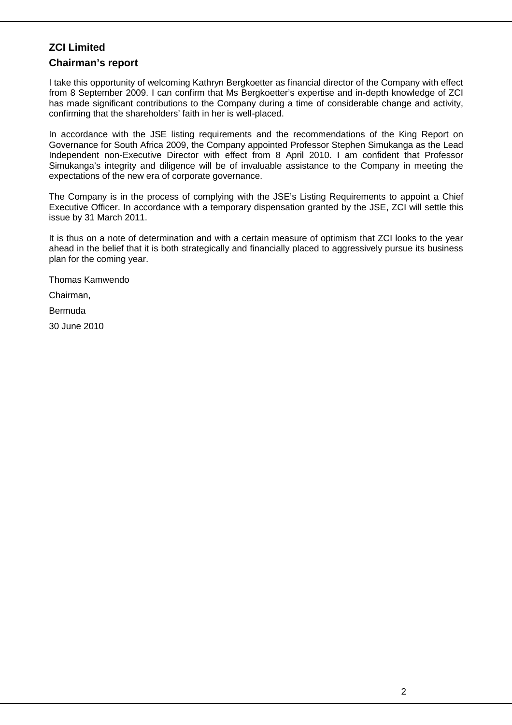### **ZCI Limited**

### **Chairman's report**

I take this opportunity of welcoming Kathryn Bergkoetter as financial director of the Company with effect from 8 September 2009. I can confirm that Ms Bergkoetter's expertise and in-depth knowledge of ZCI has made significant contributions to the Company during a time of considerable change and activity, confirming that the shareholders' faith in her is well-placed.

In accordance with the JSE listing requirements and the recommendations of the King Report on Governance for South Africa 2009, the Company appointed Professor Stephen Simukanga as the Lead Independent non-Executive Director with effect from 8 April 2010. I am confident that Professor Simukanga's integrity and diligence will be of invaluable assistance to the Company in meeting the expectations of the new era of corporate governance.

The Company is in the process of complying with the JSE's Listing Requirements to appoint a Chief Executive Officer. In accordance with a temporary dispensation granted by the JSE, ZCI will settle this issue by 31 March 2011.

It is thus on a note of determination and with a certain measure of optimism that ZCI looks to the year ahead in the belief that it is both strategically and financially placed to aggressively pursue its business plan for the coming year.

Thomas Kamwendo

Chairman,

Bermuda

30 June 2010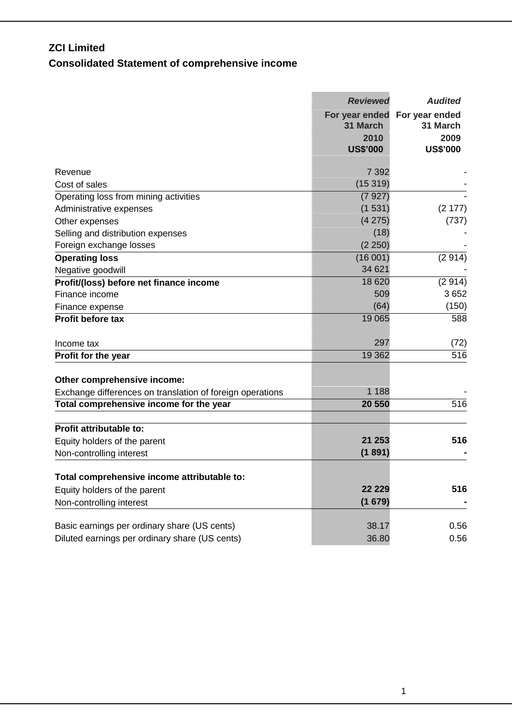# **ZCI Limited Consolidated Statement of comprehensive income**

|                                                           | <b>Reviewed</b> | <b>Audited</b>                            |
|-----------------------------------------------------------|-----------------|-------------------------------------------|
|                                                           | 31 March        | For year ended For year ended<br>31 March |
|                                                           | 2010            | 2009                                      |
|                                                           | <b>US\$'000</b> | <b>US\$'000</b>                           |
| Revenue                                                   | 7 3 9 2         |                                           |
| Cost of sales                                             | (15319)         |                                           |
| Operating loss from mining activities                     | (7927)          |                                           |
| Administrative expenses                                   | (1531)          | (2177)                                    |
| Other expenses                                            | (4275)          | (737)                                     |
| Selling and distribution expenses                         | (18)            |                                           |
| Foreign exchange losses                                   | (2 250)         |                                           |
| <b>Operating loss</b>                                     | (16001)         | (2914)                                    |
| Negative goodwill                                         | 34 621          |                                           |
| Profit/(loss) before net finance income                   | 18 6 20         | (2914)                                    |
| Finance income                                            | 509             | 3652                                      |
| Finance expense                                           | (64)            | (150)                                     |
| <b>Profit before tax</b>                                  | 19 0 65         | 588                                       |
| Income tax                                                | 297             | (72)                                      |
| Profit for the year                                       | 19 3 62         | 516                                       |
|                                                           |                 |                                           |
| Other comprehensive income:                               |                 |                                           |
| Exchange differences on translation of foreign operations | 1 1 8 8         |                                           |
| Total comprehensive income for the year                   | 20 550          | 516                                       |
|                                                           |                 |                                           |
| <b>Profit attributable to:</b>                            |                 |                                           |
| Equity holders of the parent                              | 21 253          | 516                                       |
| Non-controlling interest                                  | (1891)          |                                           |
| Total comprehensive income attributable to:               |                 |                                           |
| Equity holders of the parent                              | 22 2 2 9        | 516                                       |
| Non-controlling interest                                  | (1679)          |                                           |
| Basic earnings per ordinary share (US cents)              | 38.17           | 0.56                                      |
| Diluted earnings per ordinary share (US cents)            | 36.80           | 0.56                                      |
|                                                           |                 |                                           |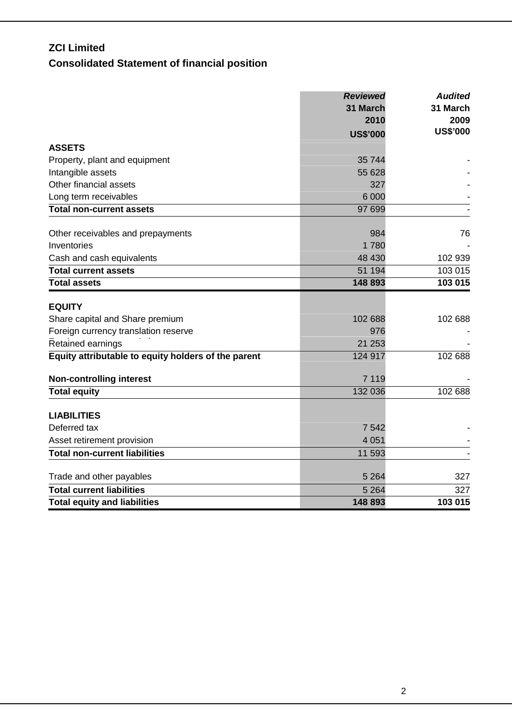# **ZCI Limited Consolidated Statement of financial position**

|                                                     | <b>Reviewed</b><br>31 March | <b>Audited</b><br>31 March<br>2009 |  |
|-----------------------------------------------------|-----------------------------|------------------------------------|--|
|                                                     | 2010                        |                                    |  |
|                                                     | <b>US\$'000</b>             | <b>US\$'000</b>                    |  |
| <b>ASSETS</b>                                       |                             |                                    |  |
| Property, plant and equipment                       | 35 744                      |                                    |  |
| Intangible assets                                   | 55 628                      |                                    |  |
| Other financial assets                              | 327                         |                                    |  |
| Long term receivables                               | 6 0 0 0                     |                                    |  |
| <b>Total non-current assets</b>                     | 97 699                      |                                    |  |
| Other receivables and prepayments                   | 984                         | 76                                 |  |
| Inventories                                         | 1780                        |                                    |  |
| Cash and cash equivalents                           | 48 430                      | 102 939                            |  |
| <b>Total current assets</b>                         | 51 194                      | 103 015                            |  |
| <b>Total assets</b>                                 | 148 893                     | 103 015                            |  |
| <b>EQUITY</b>                                       |                             |                                    |  |
| Share capital and Share premium                     | 102 688                     | 102 688                            |  |
| Foreign currency translation reserve                | 976                         |                                    |  |
| Retained earnings                                   | 21 253                      |                                    |  |
| Equity attributable to equity holders of the parent | 124 917                     | 102 688                            |  |
| <b>Non-controlling interest</b>                     | 7 1 1 9                     |                                    |  |
| <b>Total equity</b>                                 | 132 036                     | 102 688                            |  |
| <b>LIABILITIES</b>                                  |                             |                                    |  |
| Deferred tax                                        | 7 5 4 2                     |                                    |  |
| Asset retirement provision                          | 4 0 5 1                     |                                    |  |
| <b>Total non-current liabilities</b>                | 11 593                      |                                    |  |
|                                                     |                             |                                    |  |
| Trade and other payables                            | 5 2 6 4                     | 327                                |  |
| <b>Total current liabilities</b>                    | 5 2 6 4                     | 327                                |  |
| <b>Total equity and liabilities</b>                 | 148 893                     | 103 015                            |  |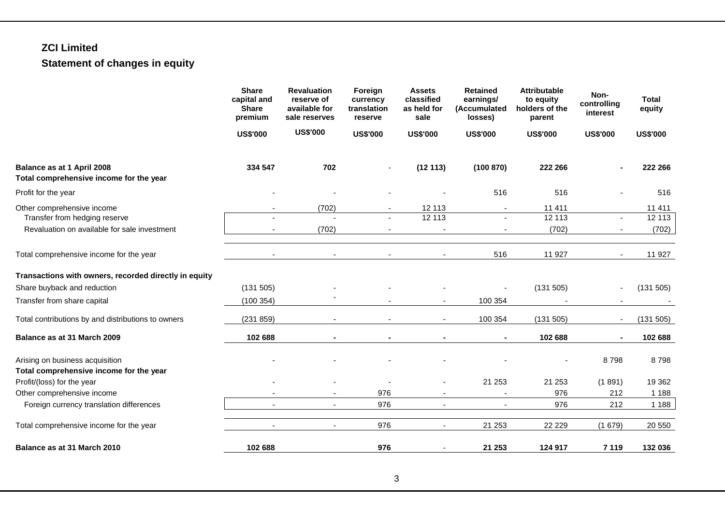# **ZCI Limited Statement of changes in equity**

|                                                                                                             | <b>Share</b><br>capital and<br><b>Share</b><br>premium<br><b>US\$'000</b> |                                  |                 | <b>Revaluation</b><br>reserve of<br>available for<br>sale reserves | Foreign<br>currency<br>translation<br>reserve | <b>Assets</b><br>classified<br>as held for<br>sale | <b>Retained</b><br>earnings/<br>(Accumulated<br>losses) | <b>Attributable</b><br>to equity<br>holders of the<br>parent | Non-<br>controlling<br>interest | <b>Total</b><br>equity |
|-------------------------------------------------------------------------------------------------------------|---------------------------------------------------------------------------|----------------------------------|-----------------|--------------------------------------------------------------------|-----------------------------------------------|----------------------------------------------------|---------------------------------------------------------|--------------------------------------------------------------|---------------------------------|------------------------|
|                                                                                                             |                                                                           |                                  | <b>US\$'000</b> | <b>US\$'000</b>                                                    | <b>US\$'000</b>                               | <b>US\$'000</b>                                    | <b>US\$'000</b>                                         | <b>US\$'000</b>                                              | <b>US\$'000</b>                 |                        |
| Balance as at 1 April 2008<br>Total comprehensive income for the year                                       | 334 547                                                                   | 702                              |                 | (12113)                                                            | (100 870)                                     | 222 266                                            |                                                         | 222 266                                                      |                                 |                        |
| Profit for the year                                                                                         |                                                                           |                                  |                 |                                                                    | 516                                           | 516                                                |                                                         | 516                                                          |                                 |                        |
| Other comprehensive income<br>Transfer from hedging reserve<br>Revaluation on available for sale investment |                                                                           | (702)<br>$\overline{a}$<br>(702) |                 | 12 113<br>12 113                                                   |                                               | 11 4 11<br>12113<br>(702)                          | $\blacksquare$                                          | 11 411<br>12 113<br>(702)                                    |                                 |                        |
| Total comprehensive income for the year                                                                     |                                                                           | $\blacksquare$                   |                 |                                                                    | 516                                           | 11 927                                             |                                                         | 11 927                                                       |                                 |                        |
| Transactions with owners, recorded directly in equity                                                       |                                                                           |                                  |                 |                                                                    |                                               |                                                    |                                                         |                                                              |                                 |                        |
| Share buyback and reduction                                                                                 | (131 505)                                                                 |                                  |                 |                                                                    |                                               | (131 505)                                          |                                                         | (131 505)                                                    |                                 |                        |
| Transfer from share capital                                                                                 | (100354)                                                                  |                                  |                 | $\blacksquare$                                                     | 100 354                                       |                                                    |                                                         |                                                              |                                 |                        |
| Total contributions by and distributions to owners                                                          | (231 859)                                                                 |                                  |                 | $\blacksquare$                                                     | 100 354                                       | (131 505)                                          | $\sim$                                                  | (131 505)                                                    |                                 |                        |
| Balance as at 31 March 2009                                                                                 | 102 688                                                                   |                                  |                 |                                                                    |                                               | 102 688                                            | $\blacksquare$                                          | 102 688                                                      |                                 |                        |
| Arising on business acquisition<br>Total comprehensive income for the year                                  |                                                                           |                                  |                 |                                                                    |                                               |                                                    | 8798                                                    | 8798                                                         |                                 |                        |
| Profit/(loss) for the year                                                                                  |                                                                           |                                  |                 |                                                                    | 21 253                                        | 21 253                                             | (1891)                                                  | 19 3 62                                                      |                                 |                        |
| Other comprehensive income                                                                                  |                                                                           |                                  | 976             | $\blacksquare$                                                     |                                               | 976                                                | 212                                                     | 1 1 8 8                                                      |                                 |                        |
| Foreign currency translation differences                                                                    |                                                                           | $\sim$                           | 976             | $\sim$                                                             |                                               | 976                                                | 212                                                     | 1 1 8 8                                                      |                                 |                        |
| Total comprehensive income for the year                                                                     |                                                                           |                                  | 976             | $\overline{\phantom{a}}$                                           | 21 253                                        | 22 2 2 9                                           | (1679)                                                  | 20 550                                                       |                                 |                        |
| Balance as at 31 March 2010                                                                                 | 102 688                                                                   |                                  | 976             | $\overline{\phantom{a}}$                                           | 21 253                                        | 124 917                                            | 7 1 1 9                                                 | 132 036                                                      |                                 |                        |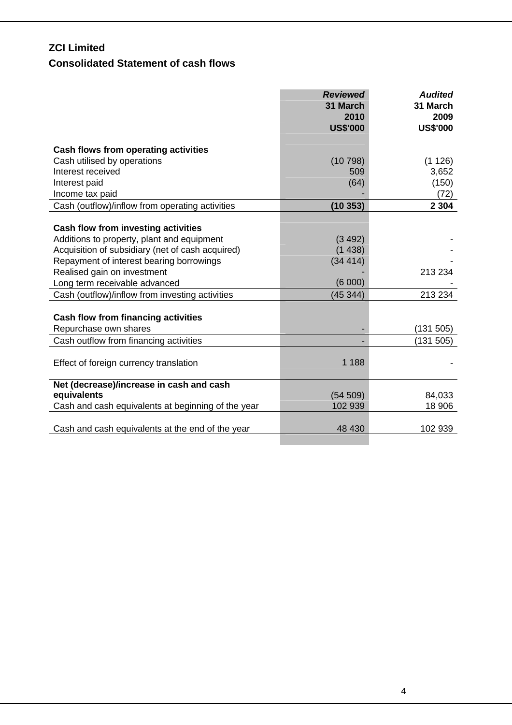## **ZCI Limited**

# **Consolidated Statement of cash flows**

|                                                                         | <b>Reviewed</b><br>31 March<br>2010 | <b>Audited</b><br>31 March<br>2009 |
|-------------------------------------------------------------------------|-------------------------------------|------------------------------------|
|                                                                         | <b>US\$'000</b>                     | <b>US\$'000</b>                    |
| Cash flows from operating activities                                    |                                     |                                    |
| Cash utilised by operations                                             | (10798)                             | (1126)                             |
| Interest received                                                       | 509                                 | 3,652                              |
| Interest paid                                                           | (64)                                | (150)                              |
| Income tax paid                                                         |                                     | (72)                               |
| Cash (outflow)/inflow from operating activities                         | (10353)                             | 2 3 0 4                            |
|                                                                         |                                     |                                    |
| Cash flow from investing activities                                     |                                     |                                    |
| Additions to property, plant and equipment                              | (3 492)                             |                                    |
| Acquisition of subsidiary (net of cash acquired)                        | (1438)                              |                                    |
| Repayment of interest bearing borrowings<br>Realised gain on investment | (34414)                             | 213 234                            |
| Long term receivable advanced                                           | (6000)                              |                                    |
| Cash (outflow)/inflow from investing activities                         | (45344)                             | 213 234                            |
|                                                                         |                                     |                                    |
| <b>Cash flow from financing activities</b>                              |                                     |                                    |
| Repurchase own shares                                                   |                                     | (131 505)                          |
| Cash outflow from financing activities                                  |                                     | (131 505)                          |
|                                                                         |                                     |                                    |
| Effect of foreign currency translation                                  | 1 1 8 8                             |                                    |
|                                                                         |                                     |                                    |
| Net (decrease)/increase in cash and cash                                |                                     |                                    |
| equivalents                                                             | (54 509)                            | 84,033                             |
| Cash and cash equivalents at beginning of the year                      | 102 939                             | 18 906                             |
|                                                                         |                                     |                                    |
| Cash and cash equivalents at the end of the year                        | 48 430                              | 102 939                            |
|                                                                         |                                     |                                    |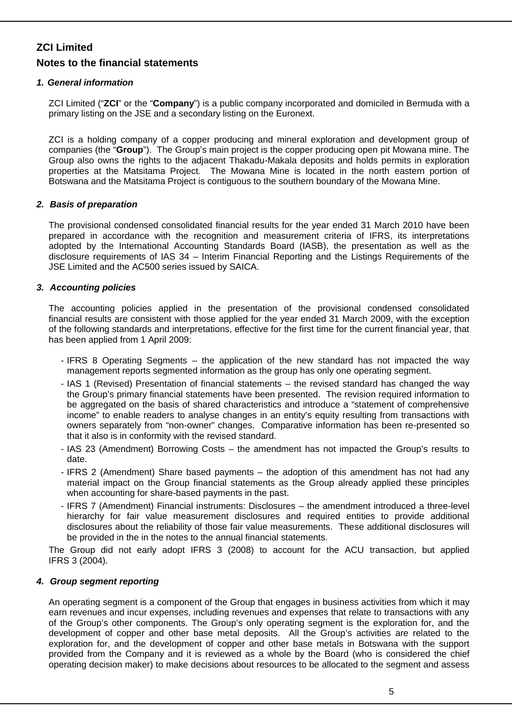### *1. General information*

ZCI Limited ("**ZCI**" or the "**Company**") is a public company incorporated and domiciled in Bermuda with a primary listing on the JSE and a secondary listing on the Euronext.

ZCI is a holding company of a copper producing and mineral exploration and development group of companies (the "**Group**"). The Group's main project is the copper producing open pit Mowana mine. The Group also owns the rights to the adjacent Thakadu-Makala deposits and holds permits in exploration properties at the Matsitama Project. The Mowana Mine is located in the north eastern portion of Botswana and the Matsitama Project is contiguous to the southern boundary of the Mowana Mine.

### *2. Basis of preparation*

The provisional condensed consolidated financial results for the year ended 31 March 2010 have been prepared in accordance with the recognition and measurement criteria of IFRS, its interpretations adopted by the International Accounting Standards Board (IASB), the presentation as well as the disclosure requirements of IAS 34 – Interim Financial Reporting and the Listings Requirements of the JSE Limited and the AC500 series issued by SAICA.

### *3. Accounting policies*

The accounting policies applied in the presentation of the provisional condensed consolidated financial results are consistent with those applied for the year ended 31 March 2009, with the exception of the following standards and interpretations, effective for the first time for the current financial year, that has been applied from 1 April 2009:

- IFRS 8 Operating Segments the application of the new standard has not impacted the way management reports segmented information as the group has only one operating segment.
- IAS 1 (Revised) Presentation of financial statements the revised standard has changed the way the Group's primary financial statements have been presented. The revision required information to be aggregated on the basis of shared characteristics and introduce a "statement of comprehensive income" to enable readers to analyse changes in an entity's equity resulting from transactions with owners separately from "non-owner" changes. Comparative information has been re-presented so that it also is in conformity with the revised standard.
- IAS 23 (Amendment) Borrowing Costs the amendment has not impacted the Group's results to date.
- IFRS 2 (Amendment) Share based payments the adoption of this amendment has not had any material impact on the Group financial statements as the Group already applied these principles when accounting for share-based payments in the past.
- IFRS 7 (Amendment) Financial instruments: Disclosures the amendment introduced a three-level hierarchy for fair value measurement disclosures and required entities to provide additional disclosures about the reliability of those fair value measurements. These additional disclosures will be provided in the in the notes to the annual financial statements.

The Group did not early adopt IFRS 3 (2008) to account for the ACU transaction, but applied IFRS 3 (2004).

#### *4. Group segment reporting*

An operating segment is a component of the Group that engages in business activities from which it may earn revenues and incur expenses, including revenues and expenses that relate to transactions with any of the Group's other components. The Group's only operating segment is the exploration for, and the development of copper and other base metal deposits. All the Group's activities are related to the exploration for, and the development of copper and other base metals in Botswana with the support provided from the Company and it is reviewed as a whole by the Board (who is considered the chief operating decision maker) to make decisions about resources to be allocated to the segment and assess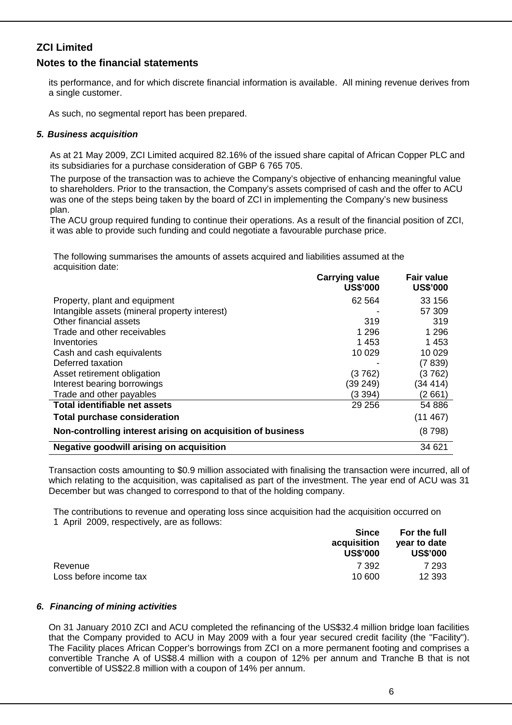### **ZCI Limited**

### **Notes to the financial statements**

its performance, and for which discrete financial information is available. All mining revenue derives from a single customer.

As such, no segmental report has been prepared.

### *5. Business acquisition*

As at 21 May 2009, ZCI Limited acquired 82.16% of the issued share capital of African Copper PLC and its subsidiaries for a purchase consideration of GBP 6 765 705.

The purpose of the transaction was to achieve the Company's objective of enhancing meaningful value to shareholders. Prior to the transaction, the Company's assets comprised of cash and the offer to ACU was one of the steps being taken by the board of ZCI in implementing the Company's new business plan.

The ACU group required funding to continue their operations. As a result of the financial position of ZCI, it was able to provide such funding and could negotiate a favourable purchase price.

The following summarises the amounts of assets acquired and liabilities assumed at the acquisition date:

|                                                             | <b>Carrying value</b><br><b>US\$'000</b> | <b>Fair value</b><br><b>US\$'000</b> |
|-------------------------------------------------------------|------------------------------------------|--------------------------------------|
| Property, plant and equipment                               | 62 5 64                                  | 33 156                               |
| Intangible assets (mineral property interest)               |                                          | 57 309                               |
| Other financial assets                                      | 319                                      | 319                                  |
| Trade and other receivables                                 | 1 2 9 6                                  | 1 296                                |
| Inventories                                                 | 1453                                     | 1453                                 |
| Cash and cash equivalents                                   | 10 0 29                                  | 10 0 29                              |
| Deferred taxation                                           |                                          | (7839)                               |
| Asset retirement obligation                                 | (3762)                                   | (3762)                               |
| Interest bearing borrowings                                 | (39 249)                                 | (34414)                              |
| Trade and other payables                                    | (3 394)                                  | (2 661)                              |
| Total identifiable net assets                               | 29 25 6                                  | 54 886                               |
| <b>Total purchase consideration</b>                         |                                          | (11467)                              |
| Non-controlling interest arising on acquisition of business |                                          | (8798)                               |
| Negative goodwill arising on acquisition                    |                                          | 34 621                               |

Transaction costs amounting to \$0.9 million associated with finalising the transaction were incurred, all of which relating to the acquisition, was capitalised as part of the investment. The year end of ACU was 31 December but was changed to correspond to that of the holding company.

The contributions to revenue and operating loss since acquisition had the acquisition occurred on 1 April 2009, respectively, are as follows:

|                        | <b>Since</b><br>acquisition<br><b>US\$'000</b> | For the full<br>year to date<br><b>US\$'000</b> |
|------------------------|------------------------------------------------|-------------------------------------------------|
| Revenue                | 7 392                                          | 7 293                                           |
| Loss before income tax | 10 600                                         | 12 3 9 3                                        |

#### *6. Financing of mining activities*

On 31 January 2010 ZCI and ACU completed the refinancing of the US\$32.4 million bridge loan facilities that the Company provided to ACU in May 2009 with a four year secured credit facility (the "Facility"). The Facility places African Copper's borrowings from ZCI on a more permanent footing and comprises a convertible Tranche A of US\$8.4 million with a coupon of 12% per annum and Tranche B that is not convertible of US\$22.8 million with a coupon of 14% per annum.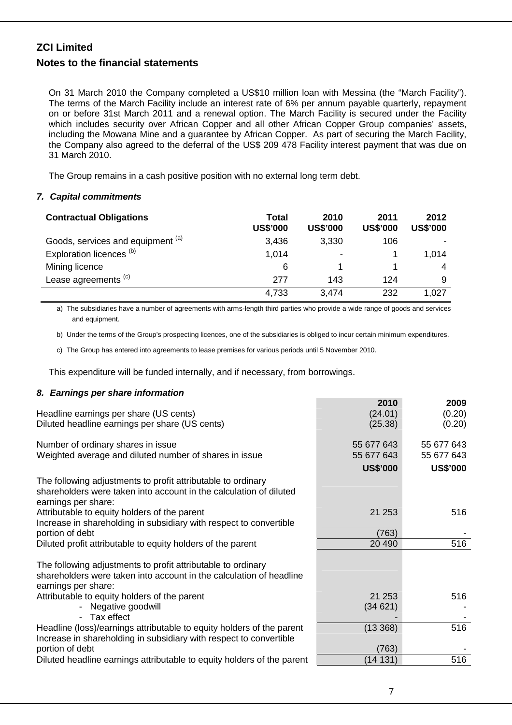On 31 March 2010 the Company completed a US\$10 million loan with Messina (the "March Facility"). The terms of the March Facility include an interest rate of 6% per annum payable quarterly, repayment on or before 31st March 2011 and a renewal option. The March Facility is secured under the Facility which includes security over African Copper and all other African Copper Group companies' assets, including the Mowana Mine and a guarantee by African Copper. As part of securing the March Facility, the Company also agreed to the deferral of the US\$ 209 478 Facility interest payment that was due on 31 March 2010.

The Group remains in a cash positive position with no external long term debt.

### *7. Capital commitments*

| <b>Contractual Obligations</b>      | Total<br><b>US\$'000</b> | 2010<br><b>US\$'000</b> | 2011<br><b>US\$'000</b> | 2012<br><b>US\$'000</b> |
|-------------------------------------|--------------------------|-------------------------|-------------------------|-------------------------|
| Goods, services and equipment (a)   | 3,436                    | 3,330                   | 106                     |                         |
| Exploration licences <sup>(b)</sup> | 1,014                    | $\blacksquare$          |                         | 1,014                   |
| Mining licence                      | 6                        |                         |                         | 4                       |
| Lease agreements <sup>(c)</sup>     | 277                      | 143                     | 124                     | 9                       |
|                                     | 4,733                    | 3,474                   | 232                     | 1.027                   |

a) The subsidiaries have a number of agreements with arms-length third parties who provide a wide range of goods and services and equipment.

b) Under the terms of the Group's prospecting licences, one of the subsidiaries is obliged to incur certain minimum expenditures.

c) The Group has entered into agreements to lease premises for various periods until 5 November 2010.

This expenditure will be funded internally, and if necessary, from borrowings.

#### *8. Earnings per share information*

|                                                                        | 2010            | 2009            |
|------------------------------------------------------------------------|-----------------|-----------------|
| Headline earnings per share (US cents)                                 | (24.01)         | (0.20)          |
| Diluted headline earnings per share (US cents)                         | (25.38)         | (0.20)          |
|                                                                        |                 |                 |
| Number of ordinary shares in issue                                     | 55 677 643      | 55 677 643      |
| Weighted average and diluted number of shares in issue                 | 55 677 643      | 55 677 643      |
|                                                                        | <b>US\$'000</b> | <b>US\$'000</b> |
| The following adjustments to profit attributable to ordinary           |                 |                 |
| shareholders were taken into account in the calculation of diluted     |                 |                 |
| earnings per share:                                                    |                 |                 |
| Attributable to equity holders of the parent                           | 21 253          | 516             |
| Increase in shareholding in subsidiary with respect to convertible     |                 |                 |
| portion of debt                                                        | (763)           |                 |
| Diluted profit attributable to equity holders of the parent            | 20 490          | 516             |
|                                                                        |                 |                 |
| The following adjustments to profit attributable to ordinary           |                 |                 |
| shareholders were taken into account in the calculation of headline    |                 |                 |
| earnings per share:                                                    |                 |                 |
| Attributable to equity holders of the parent                           | 21 253          | 516             |
| - Negative goodwill                                                    | (34621)         |                 |
| - Tax effect                                                           |                 |                 |
| Headline (loss)/earnings attributable to equity holders of the parent  | (13368)         | 516             |
| Increase in shareholding in subsidiary with respect to convertible     |                 |                 |
| portion of debt                                                        | (763)           |                 |
| Diluted headline earnings attributable to equity holders of the parent | (14 131)        | 516             |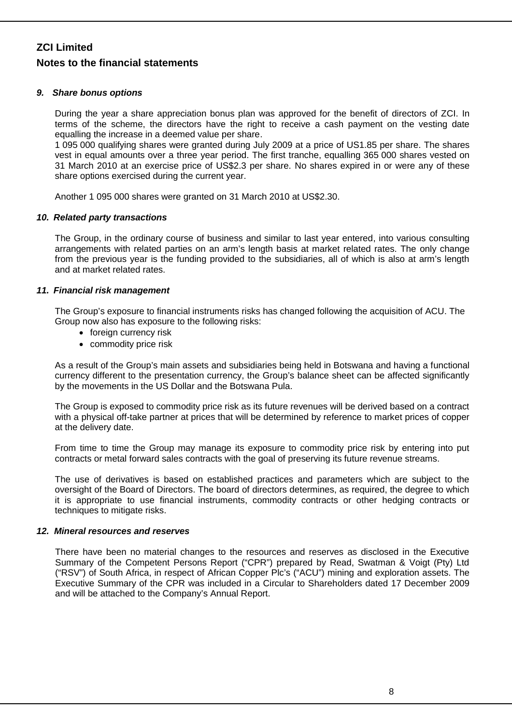#### *9. Share bonus options*

During the year a share appreciation bonus plan was approved for the benefit of directors of ZCI. In terms of the scheme, the directors have the right to receive a cash payment on the vesting date equalling the increase in a deemed value per share.

1 095 000 qualifying shares were granted during July 2009 at a price of US1.85 per share. The shares vest in equal amounts over a three year period. The first tranche, equalling 365 000 shares vested on 31 March 2010 at an exercise price of US\$2.3 per share. No shares expired in or were any of these share options exercised during the current year.

Another 1 095 000 shares were granted on 31 March 2010 at US\$2.30.

### *10. Related party transactions*

The Group, in the ordinary course of business and similar to last year entered, into various consulting arrangements with related parties on an arm's length basis at market related rates. The only change from the previous year is the funding provided to the subsidiaries, all of which is also at arm's length and at market related rates.

### *11. Financial risk management*

The Group's exposure to financial instruments risks has changed following the acquisition of ACU. The Group now also has exposure to the following risks:

- foreign currency risk
- commodity price risk

As a result of the Group's main assets and subsidiaries being held in Botswana and having a functional currency different to the presentation currency, the Group's balance sheet can be affected significantly by the movements in the US Dollar and the Botswana Pula.

The Group is exposed to commodity price risk as its future revenues will be derived based on a contract with a physical off-take partner at prices that will be determined by reference to market prices of copper at the delivery date.

From time to time the Group may manage its exposure to commodity price risk by entering into put contracts or metal forward sales contracts with the goal of preserving its future revenue streams.

The use of derivatives is based on established practices and parameters which are subject to the oversight of the Board of Directors. The board of directors determines, as required, the degree to which it is appropriate to use financial instruments, commodity contracts or other hedging contracts or techniques to mitigate risks.

#### *12. Mineral resources and reserves*

There have been no material changes to the resources and reserves as disclosed in the Executive Summary of the Competent Persons Report ("CPR") prepared by Read, Swatman & Voigt (Pty) Ltd ("RSV") of South Africa, in respect of African Copper Plc's ("ACU") mining and exploration assets. The Executive Summary of the CPR was included in a Circular to Shareholders dated 17 December 2009 and will be attached to the Company's Annual Report.